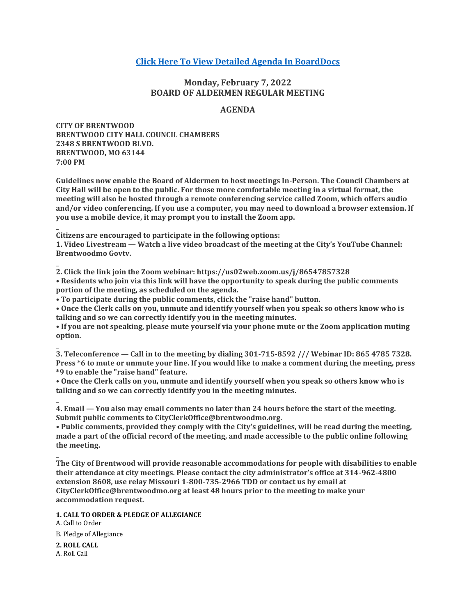# **[Click Here To View Detailed Agenda In BoardDocs](http://go.boarddocs.com/mo/cob/Board.nsf/goto?open&id=C9WRRG6F3F25)**

# **Monday, February 7, 2022 BOARD OF ALDERMEN REGULAR MEETING**

# **AGENDA**

**CITY OF BRENTWOOD BRENTWOOD CITY HALL COUNCIL CHAMBERS 2348 S BRENTWOOD BLVD. BRENTWOOD, MO 63144 7:00 PM**

**Guidelines now enable the Board of Aldermen to host meetings In-Person. The Council Chambers at City Hall will be open to the public. For those more comfortable meeting in a virtual format, the meeting will also be hosted through a remote conferencing service called Zoom, which offers audio and/or video conferencing. If you use a computer, you may need to download a browser extension. If you use a mobile device, it may prompt you to install the Zoom app.**

**Citizens are encouraged to participate in the following options:**

**1. Video Livestream — Watch a live video broadcast of the meeting at the City's YouTube Channel: Brentwoodmo Govtv.**

**2. Click the link join the Zoom webinar: https://us02web.zoom.us/j/86547857328 • Residents who join via this link will have the opportunity to speak during the public comments portion of the meeting, as scheduled on the agenda.**

**• To participate during the public comments, click the "raise hand" button.**

**• Once the Clerk calls on you, unmute and identify yourself when you speak so others know who is talking and so we can correctly identify you in the meeting minutes.**

**• If you are not speaking, please mute yourself via your phone mute or the Zoom application muting option.**

**\_ 3. Teleconference — Call in to the meeting by dialing 301-715-8592 /// Webinar ID: 865 4785 7328. Press \*6 to mute or unmute your line. If you would like to make a comment during the meeting, press \*9 to enable the "raise hand" feature.**

**• Once the Clerk calls on you, unmute and identify yourself when you speak so others know who is talking and so we can correctly identify you in the meeting minutes.**

**4. Email — You also may email comments no later than 24 hours before the start of the meeting. Submit public comments to CityClerkOffice@brentwoodmo.org.**

**• Public comments, provided they comply with the City's guidelines, will be read during the meeting, made a part of the official record of the meeting, and made accessible to the public online following the meeting.**

**The City of Brentwood will provide reasonable accommodations for people with disabilities to enable their attendance at city meetings. Please contact the city administrator's office at 314-962-4800 extension 8608, use relay Missouri 1-800-735-2966 TDD or contact us by email at CityClerkOffice@brentwoodmo.org at least 48 hours prior to the meeting to make your accommodation request.**

**1. CALL TO ORDER & PLEDGE OF ALLEGIANCE**

A. Call to Order B. Pledge of Allegiance

**2. ROLL CALL** A. Roll Call

**\_**

**\_**

**\_**

**\_**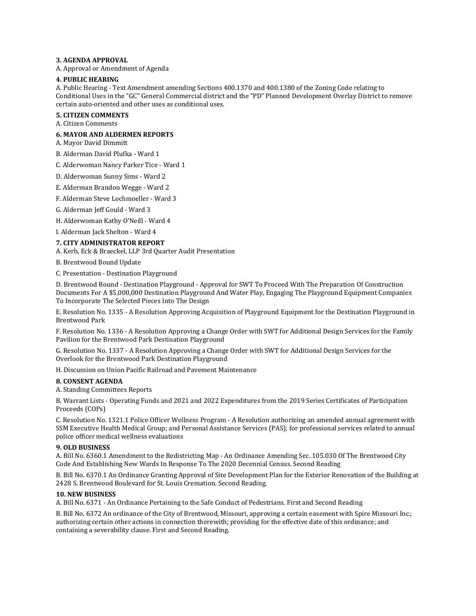#### **3. AGENDA APPROVAL**

A. Approval or Amendment of Agenda

#### **4. PUBLIC HEARING**

A. Public Hearing - Text Amendment amending Sections 400.1370 and 400.1380 of the Zoning Code relating to Conditional Uses in the "GC" General Commercial district and the "PD" Planned Development Overlay District to remove certain auto-oriented and other uses as conditional uses.

**5. CITIZEN COMMENTS**

A. Citizen Comments

#### **6. MAYOR AND ALDERMEN REPORTS**

A. Mayor David Dimmitt

B. Alderman David Plufka - Ward 1

C. Alderwoman Nancy Parker Tice - Ward 1

D. Alderwoman Sunny Sims - Ward 2

E. Alderman Brandon Wegge - Ward 2

F. Alderman Steve Lochmoeller - Ward 3

G. Alderman Jeff Gould - Ward 3

H. Alderwoman Kathy O'Neill - Ward 4

I. Alderman Jack Shelton - Ward 4

**7. CITY ADMINISTRATOR REPORT**

A. Kerb, Eck & Braeckel, LLP 3rd Quarter Audit Presentation

B. Brentwood Bound Update

C. Presentation - Destination Playground

D. Brentwood Bound - Destination Playground - Approval for SWT To Proceed With The Preparation Of Construction Documents For A \$5,000,000 Destination Playground And Water Play, Engaging The Playground Equipment Companies To Incorporate The Selected Pieces Into The Design

E. Resolution No. 1335 - A Resolution Approving Acquisition of Playground Equipment for the Destination Playground in Brentwood Park

F. Resolution No. 1336 - A Resolution Approving a Change Order with SWT for Additional Design Services for the Family Pavilion for the Brentwood Park Destination Playground

G. Resolution No. 1337 - A Resolution Approving a Change Order with SWT for Additional Design Services for the Overlook for the Brentwood Park Destination Playground

H. Discussion on Union Pacific Railroad and Pavement Maintenance

#### **8. CONSENT AGENDA**

A. Standing Committees Reports

B. Warrant Lists - Operating Funds and 2021 and 2022 Expenditures from the 2019 Series Certificates of Participation Proceeds (COPs)

C. Resolution No. 1321.1 Police Officer Wellness Program - A Resolution authorizing an amended annual agreement with SSM Executive Health Medical Group; and Personal Assistance Services (PAS); for professional services related to annual police officer medical wellness evaluations

#### **9. OLD BUSINESS**

A. Bill No. 6360.1 Amendment to the Redistricting Map - An Ordinance Amending Sec. 105.030 Of The Brentwood City Code And Establishing New Wards In Response To The 2020 Decennial Census. Second Reading

B. Bill No. 6370.1 An Ordinance Granting Approval of Site Development Plan for the Exterior Renovation of the Building at 2428 S. Brentwood Boulevard for St. Louis Cremation. Second Reading.

#### **10. NEW BUSINESS**

A. Bill No. 6371 - An Ordinance Pertaining to the Safe Conduct of Pedestrians. First and Second Reading

B. Bill No. 6372 An ordinance of the City of Brentwood, Missouri, approving a certain easement with Spire Missouri Inc.; authorizing certain other actions in connection therewith; providing for the effective date of this ordinance; and containing a severability clause. First and Second Reading.